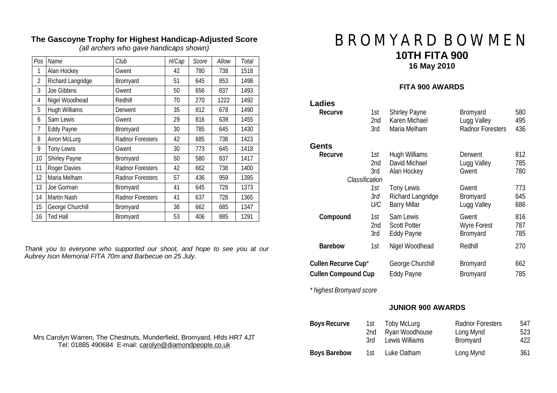| Pos | Name              | Club                    | H/Cap | Score | Allow | Total |
|-----|-------------------|-------------------------|-------|-------|-------|-------|
| 1   | Alan Hockey       | Gwent                   | 42    | 780   | 738   | 1518  |
| 2   | Richard Langridge | Bromyard                | 51    | 645   | 853   | 1498  |
| 3   | Joe Gibbins       | Gwent                   | 50    | 656   | 837   | 1493  |
| 4   | Nigel Woodhead    | Redhill                 | 70    | 270   | 1222  | 1492  |
| 5   | Hugh Williams     | Derwent                 | 35    | 812   | 678   | 1490  |
| 6   | Sam Lewis         | Gwent                   | 29    | 816   | 639   | 1455  |
| 7   | <b>Eddy Payne</b> | Bromyard                | 30    | 785   | 645   | 1430  |
| 8   | Arron McLurg      | <b>Radnor Foresters</b> | 42    | 685   | 738   | 1423  |
| 9   | Tony Lewis        | Gwent                   | 30    | 773   | 645   | 1418  |
| 10  | Shirley Payne     | Bromyard                | 50    | 580   | 837   | 1417  |
| 11  | Roger Davies      | <b>Radnor Foresters</b> | 42    | 662   | 738   | 1400  |
| 12  | Maria Melham      | <b>Radnor Foresters</b> | 57    | 436   | 959   | 1395  |
| 13  | Joe Gorman        | Bromyard                | 41    | 645   | 728   | 1373  |
| 14  | Martin Nash       | <b>Radnor Foresters</b> | 41    | 637   | 728   | 1365  |
| 15  | George Churchill  | Bromyard                | 36    | 662   | 685   | 1347  |
| 16  | <b>Ted Hall</b>   | Bromyard                | 53    | 406   | 885   | 1291  |

## **The Gascoyne Trophy for Highest Handicap-Adjusted Score**

*(all archers who gave handicaps shown)* 

*Thank you to everyone who supported our shoot, and hope to see you at our Aubrey Ison Memorial FITA 70m and Barbecue on 25 July.* 

# **BROMYARD BOWMEN 10TH FITA 900 16 May 2010**

#### **FITA 900 AWARDS**

| Ladies              |                                     |                                               |                                 |                   |
|---------------------|-------------------------------------|-----------------------------------------------|---------------------------------|-------------------|
| Recurve             | 1st                                 | <b>Shirley Payne</b>                          | Bromyard                        | 580               |
|                     | 2nd                                 | Karen Michael                                 | Lugg Valley                     | 495               |
|                     | 3rd                                 | Maria Melham                                  | <b>Radnor Foresters</b>         | 436               |
| Gents               |                                     |                                               |                                 |                   |
| Recurve             | 1st<br>2nd<br>3rd<br>Classification | Hugh Williams<br>David Michael<br>Alan Hockey | Derwent<br>Lugg Valley<br>Gwent | 812<br>785<br>780 |
|                     | 1st                                 | <b>Tony Lewis</b>                             | Gwent                           | 773               |
|                     | 3rd                                 | Richard Langridge                             | Bromyard                        | 645               |
|                     | U/C                                 | <b>Barry Millar</b>                           | Lugg Valley                     | 686               |
| Compound            | 1st                                 | Sam Lewis                                     | Gwent                           | 816               |
|                     | 2nd                                 | <b>Scott Potter</b>                           | <b>Wyre Forest</b>              | 787               |
|                     | 3rd                                 | <b>Eddy Payne</b>                             | Bromyard                        | 785               |
| Barebow             | 1st                                 | Nigel Woodhead                                | Redhill                         | 270               |
| Cullen Recurve Cup* |                                     | George Churchill                              | Bromyard                        | 662               |
| Cullen Compound Cup |                                     | <b>Eddy Payne</b>                             | Bromyard                        | 785               |

*\* highest Bromyard score* 

#### **JUNIOR 900 AWARDS**

| Boys Recurve        | 1st | Toby McLurg    | <b>Radnor Foresters</b> | 547  |
|---------------------|-----|----------------|-------------------------|------|
|                     | 2nd | Ryan Woodhouse | Long Mynd               | 523  |
|                     | 3rd | Lewis Williams | Bromyard                | 422. |
| <b>Boys Barebow</b> | 1st | Luke Oatham    | Long Mynd               | 361  |

Mrs Carolyn Warren, The Chestnuts, Munderfield, Bromyard, Hfds HR7 4JT Tel: 01885 490684 E-mail: [carolyn@diamondpeople.co.uk](mailto:carolyn@diamondpeople.co.uk)